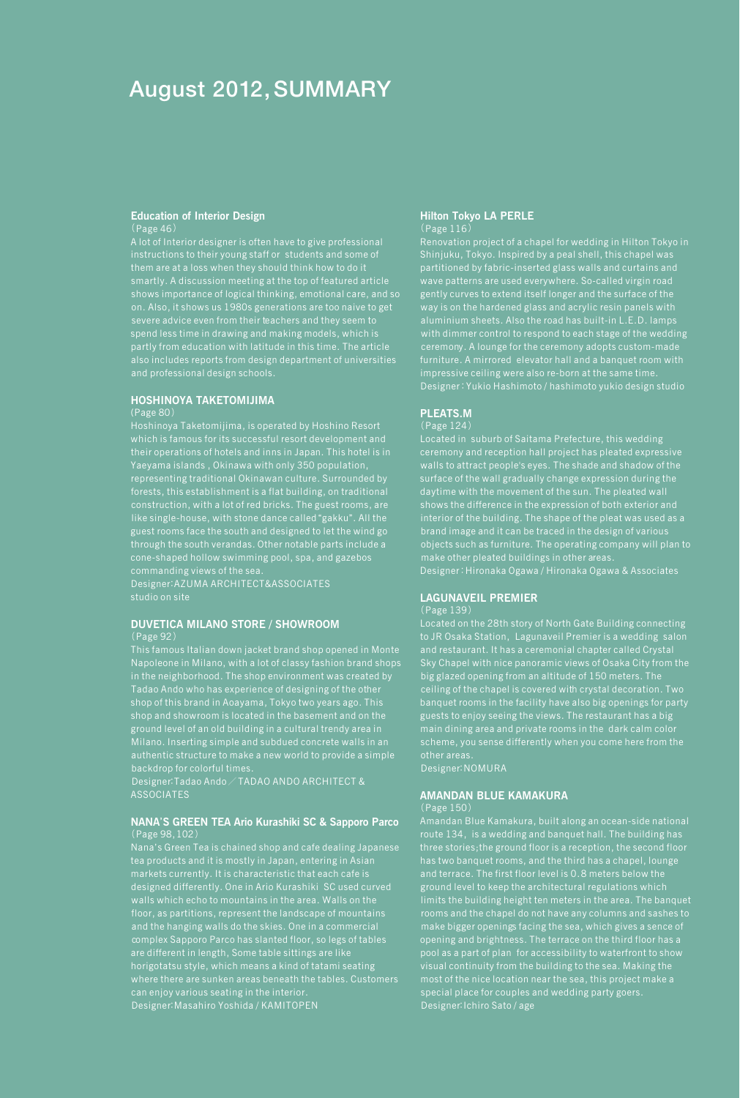# August 2012, SUMMARY

### **Education of Interior Design** (Page 46)

A lot of Interior designer is often have to give professional instructions to their young staff or students and some of shows importance of logical thinking, emotional care, and so on. Also, it shows us 1980s generations are too naive to get spend less time in drawing and making models, which is also includes reports from design department of universities and professional design schools.

### **HOSHINOYA TAKETOMIJIMA**

(Page 80)

which is famous for its successful resort development and their operations of hotels and inns in Japan. This hotel is in Yaeyama islands , Okinawa with only 350 population, representing traditional Okinawan culture. Surrounded by forests, this establishment is a flat building, on traditional construction, with a lot of red bricks. The guest rooms, are like single-house, with stone dance called "gakku". All the guest rooms face the south and designed to let the wind go through the south verandas. Other notable parts include a commanding views of the sea.

Designer:AZUMA ARCHITECT&ASSOCIATES

#### **DUVETICA MILANO STORE / SHOWROOM** (Page 92)

This famous Italian down jacket brand shop opened in Monte shop of this brand in Aoayama, Tokyo two years ago. This ground level of an old building in a cultural trendy area in Milano. Inserting simple and subdued concrete walls in an backdrop for colorful times.

Designer:Tadao Ando $\angle$ TADAO ANDO ARCHITECT & ASSOCIATES

#### **NANA**'**S GREEN TEA Ario Kurashiki SC & Sapporo Parco** (Page 98,102)

Nana's Green Tea is chained shop and cafe dealing Japanese tea products and it is mostly in Japan, entering in Asian designed differently. One in Ario Kurashiki SC used curved walls which echo to mountains in the area. Walls on the and the hanging walls do the skies. One in a commercial complex Sapporo Parco has slanted floor, so legs of tables horigotatsu style, which means a kind of tatami seating can enjoy various seating in the interior. Designer: Masahiro Yoshida / KAMITOPEN

### **Hilton Tokyo LA PERLE** (Page 116)

Renovation project of a chapel for wedding in Hilton Tokyo in Shinjuku, Tokyo. Inspired by a peal shell, this chapel was partitioned by fabric-inserted glass walls and curtains and wave patterns are used everywhere. So-called virgin road gently curves to extend itself longer and the surface of the way is on the hardened glass and acrylic resin panels with aluminium sheets. Also the road has built-in L.E.D. lamps with dimmer control to respond to each stage of the wedding ceremony. A lounge for the ceremony adopts custom-made impressive ceiling were also re-born at the same time. Designer:Yukio Hashimoto / hashimoto yukio design studio

### **PLEATS.M**

(Page 124)

Located in suburb of Saitama Prefecture, this wedding ceremony and reception hall project has pleated expressive surface of the wall gradually change expression during the daytime with the movement of the sun. The pleated wall shows the difference in the expression of both exterior and interior of the building. The shape of the pleat was used as a brand image and it can be traced in the design of various objects such as furniture. The operating company will plan to Designer:Hironaka Ogawa / Hironaka Ogawa & Associates

# **LAGUNAVEIL PREMIER**

to JR Osaka Station, Lagunaveil Premier is a wedding salon and restaurant. It has a ceremonial chapter called Crystal Sky Chapel with nice panoramic views of Osaka City from the ceiling of the chapel is covered with crystal decoration. Two banquet rooms in the facility have also big openings for party guests to enjoy seeing the views. The restaurant has a big main dining area and private rooms in the dark calm color

Designer: NOMURA

### **AMANDAN BLUE KAMAKURA**

(Page 150)

route 134, is a wedding and banquet hall. The building has three stories;the ground floor is a reception, the second floor has two banquet rooms, and the third has a chapel, lounge ground level to keep the architectural regulations which limits the building height ten meters in the area. The banquet make bigger openings facing the sea, which gives a sence of opening and brightness. The terrace on the third floor has a visual continuity from the building to the sea. Making the special place for couples and wedding party goers. Designer: Ichiro Sato / age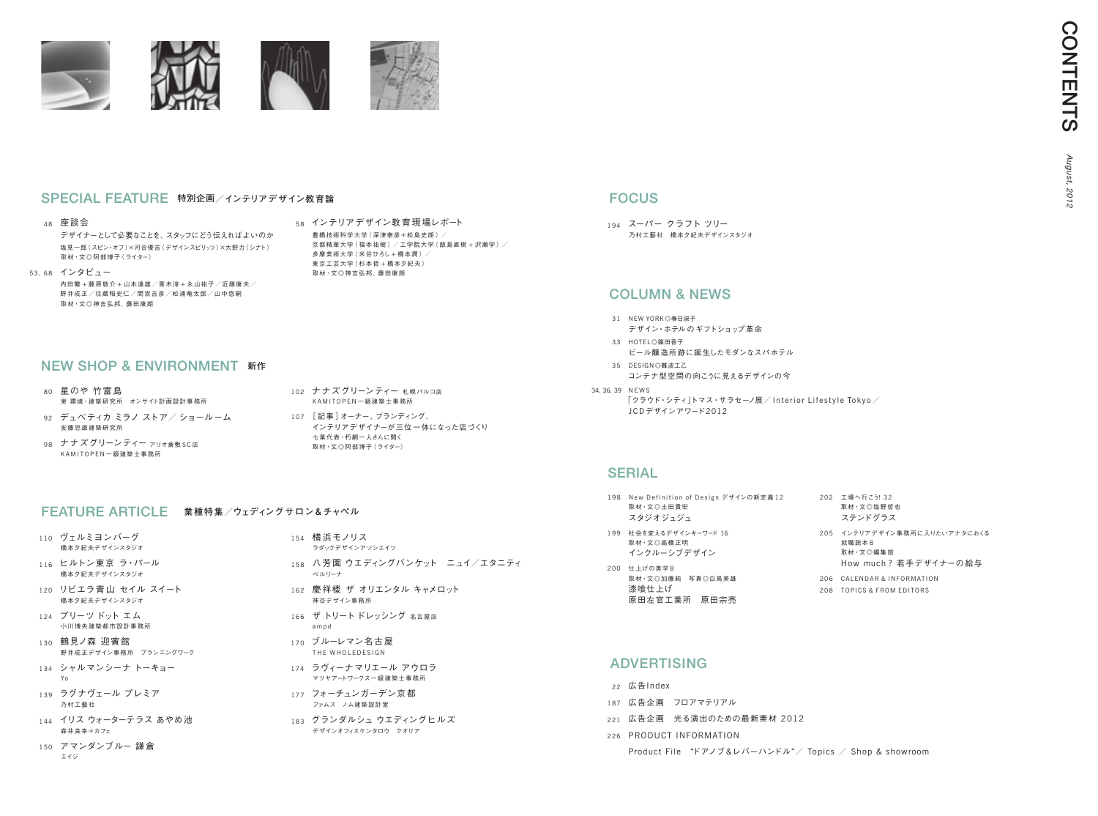| 198 New Definition of Design デザインの新定義12<br>取材·文◎土田貴宏<br>スタジオジュジュ |     | 202 工場へ行こ<br>取材 · 文◎:<br>ステンド           |
|------------------------------------------------------------------|-----|-----------------------------------------|
| 199 社会を変えるデザインキーワード 16<br>取材·文◎高橋正明<br>インクルーシブデザイン               |     | 205 インテリアラ<br>就職読本8<br>取材·文◎i<br>How mu |
| 200 仕上げの美学8<br>取材·文◎加藤純 写真◎白鳥美雄<br>漆喰仕上げ<br>原田左官工業所 原田宗亮         | 206 | CALENDA<br>208 TOPICS &                 |

# **ADVERTISING**

194 スーパー クラフト ツリー 乃村工藝社 橋本夕紀夫デザインスタジオ

# FOCUS

- 31 NEW YORK◎春日淑子 デザイン・ホテルのギフトショップ革命
- 33 HOTEL ◎ 筱田 <del>季</del>子 ビール醸造所跡に誕生したモダンなスパホテル
- 35 DESIGN◎難波工乙 コンテナ型空間の向こうに見えるデザインの今
- 34、36、39 N E W S
	- $\lceil \rho \tau \rangle$ ウド・シティ $\lceil \rho \tau \rangle$ ・サラセーノ展 $\neq 0$  Interior Lifestyle Tokyo $\neq 0$ JCD デザインアワード2012

## **SERIAL**

# Column & news

- 22 広告Index
- 187 広告企画 フロアマテリアル
- 221 広告企画 光る演出のための最新素材 2012
- 226 PRODUCT INFORMATION
	- Product File "ドアノブ&レバーハンドル"/ Topics / Shop & showroom
- 102 ナナズグリーンティー 札幌パルコ店 KA M I T O P E N 一級建築士事務所
- 107 [ 記事 ]オーナー、ブランディング、 インテリアデザイナーが三位一体になった店づくり 七葉代表・朽網一人さんに聞く 取材・文◎阿部博子(ライター)

- 110 ヴェルミヨンバーグ 橋本夕紀夫デザインスタジオ
- 116 ヒルトン東京 ラ・パール 橋本夕紀夫デザインスタジオ
- 120 リビエラ青山 セイル スイート 橋本夕紀夫デザインスタジオ
- 124 プリーツ ドット エム 小川博央建築都市設計事務所
- 130 鶴見ノ森 迎賓館 野井成正デザイン事務所 プランニングワーク
- 134 シャルマンシーナ トーキョー Yo
- 139 ラグナヴェール プレミア 乃村工藝社
- 144 イリス ウォーターテラス あやめ池 森井良幸+カフェ
- 150 アマンダンブルー 鎌倉 エイジ

### FEATURE ARTICLE **業種特集/ウェディングサロン&チャペル**

- 154 横 浜モノリス ラダックデザインアソシエイツ
- 158 八芳園 ウエディングバンケット ニュイ/エタニティ ベルリーナ
- 162 慶祥楼 ザ オリエンタル キャメロット 神谷デザイン事務所
- 166 ザ トリートドレッシング 名古屋店 a m p d
- 170 ブルーレマン名古屋 THE WHOLEDESIGN
- 174 ラヴィーナマリエール アウロラ マツヤアートワークス一級建築士事務所
- 177 フォーチュンガーデン京都 ファムス ノム建築設計室
- 183 グランダルシュ ウエディングヒルズ デザインオフィスケンタロウ クオリア

25132 塩野哲也 ステンドグラス デザイン事務所に入りたいアナタにおくる 編集部 ich?若手デザイナーの給与 **R & INFORMATION** FROM EDITORS

- 80 星のや 竹富島 東 環境・建築研究所 オンサイト計画設計事務所
- 92 デュベティカ ミラノ ストア/ ショールーム 安藤忠雄建築研究所
- 98 ナナズグリーンティー ァリォ食敷 SC店 K A M I T O P E N 一級建築士事務所

# NEW SHOP & ENVIRONMENT **新作**

### 48 座談会

デザイナーとして必要なことを、スタッフにどう伝えればよいのか 塩見一郎 (スピン・オフ)×河合優吉 (デザインスピリッツ)×大野力 (シナト) 取材・文◎阿部博子(ライター)

53、68 インタビュー

内田繁 + 藤原敬介 + 山本達雄/青木淳 + 永山祐子/近藤康夫/ 野井成正/往蔵稲史仁/間宮吉彦/松浦竜太郎/山中悠嗣 取材・文◎神吉弘邦、藤田康朗



## SPECIAL FEATURE **特別企画/インテリアデザイン教育論**

58 インテリアデザイン教育現場レポート 豊橋技術科学大学 (深津泰彦+松鳥史朗) / 京都精華大学(福本祐樹)/工学院大学(飯島直樹+沢瀬学)/ 多摩美術大学 ( 米谷ひろし + 橋木潤 ) / 東京工芸大学( 杉本哲 + 橋本夕紀夫 ) 取材・文◎神吉弘邦、藤田康朗